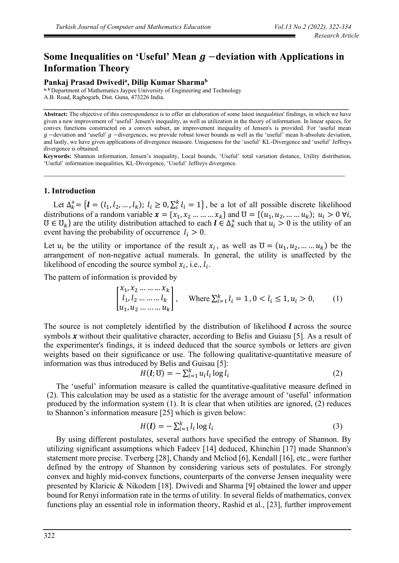# Some Inequalities on 'Useful' Mean *g* −deviation with Applications in **Information Theory**

# **Pankaj Prasad Dwivedi<sup>a</sup> , Dilip Kumar Sharma<sup>b</sup>**

**a, b** Department of Mathematics Jaypee University of Engineering and Technology A.B. Road, Raghogarh, Dist. Guna, 473226 India.

**Abstract:** The objective of this correspondence is to offer an elaboration of some latest inequalities' findings, in which we have given a new improvement of 'useful' Jensen's inequality, as well as utilization in the theory of information. In linear spaces, for convex functions constructed on a convex subset, an improvement inequality of Jensen's is provided. For 'useful mean  $g$  –deviation and 'useful'  $g$  –divergences, we provide robust lower bounds as well as the 'useful' mean h-absolute deviation, and lastly, we have given applications of divergence measure. Uniqueness for the 'useful' KL-Divergence and 'useful' Jeffreys divergence is obtained.

**\_\_\_\_\_\_\_\_\_\_\_\_\_\_\_\_\_\_\_\_\_\_\_\_\_\_\_\_\_\_\_\_\_\_\_\_\_\_\_\_\_\_\_\_\_\_\_\_\_\_\_\_\_\_\_\_\_\_\_\_\_\_\_\_\_\_\_\_\_\_\_\_\_\_\_\_**

**Keywords:** Shannon information, Jensen's inequality, Local bounds, 'Useful' total variation distance, Utility distribution, 'Useful' information inequalities, KL-Divergence, 'Useful' Jeffreys divergence.

# **1. Introduction**

Let  $\Delta_k^+ = \{l = (l_1, l_2, ..., l_k); l_i \ge 0, \sum_i^k l_i = 1\}$ , be a lot of all possible discrete likelihood distributions of a random variable  $x = \{x_1, x_2, ..., x_k\}$  and  $\mathcal{U} = \{(u_1, u_2, ..., u_k)\}\; u_i > 0 \; \forall i$ ,  $\mathfrak{V} \in \mathfrak{V}_k$  are the utility distribution attached to each  $\mathbf{l} \in \Delta_k^+$  such that  $u_i > 0$  is the utility of an event having the probability of occurrence  $l_i > 0$ .

Let  $u_i$  be the utility or importance of the result  $x_i$ , as well as  $\mathcal{U} = (u_1, u_2, ..., u_k)$  be the arrangement of non-negative actual numerals. In general, the utility is unaffected by the likelihood of encoding the source symbol  $x_i$ , i.e.,  $l_i$ .

The pattern of information is provided by

$$
\begin{bmatrix} x_1, x_2 \dots \dots \dots x_k \\ l_1, l_2 \dots \dots \dots l_k \\ u_1, u_2 \dots \dots \dots u_k \end{bmatrix}, \quad \text{Where } \sum_{i=1}^k l_i = 1, 0 < l_i \le 1, u_i > 0,\tag{1}
$$

The source is not completely identified by the distribution of likelihood  $\ell$  across the source symbols  $x$  without their qualitative character, according to Belis and Guiasu [5]. As a result of the experimenter's findings, it is indeed deduced that the source symbols or letters are given weights based on their significance or use. The following qualitative-quantitative measure of information was thus introduced by Belis and Guisau [5]:

$$
H(\mathbf{l}; \mathbf{U}) = -\sum_{i=1}^{k} u_i l_i \log l_i \tag{2}
$$

The 'useful' information measure is called the quantitative-qualitative measure defined in (2). This calculation may be used as a statistic for the average amount of 'useful' information produced by the information system (1). It is clear that when utilities are ignored, (2) reduces to Shannon's information measure [25] which is given below:

$$
H(\mathbf{l}) = -\sum_{i=1}^{k} l_i \log l_i \tag{3}
$$

By using different postulates, several authors have specified the entropy of Shannon. By utilizing significant assumptions which Fadeev [14] deduced, Khinchin [17] made Shannon's statement more precise. Tverberg [28], Chandy and Mcliod [6], Kendall [16], etc., were further defined by the entropy of Shannon by considering various sets of postulates. For strongly convex and highly mid-convex functions, counterparts of the converse Jensen inequality were presented by Klaricic & Nikodem [18]. Dwivedi and Sharma [9] obtained the lower and upper bound for Renyi information rate in the terms of utility. In several fields of mathematics, convex functions play an essential role in information theory, Rashid et al., [23], further improvement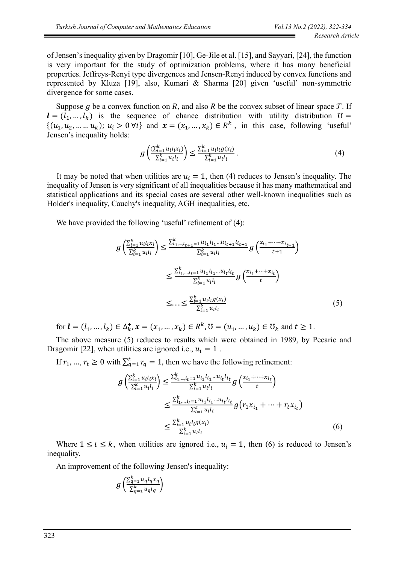of Jensen's inequality given by Dragomir [10], Ge-Jile et al. [15], and Sayyari, [24], the function is very important for the study of optimization problems, where it has many beneficial properties. Jeffreys-Renyi type divergences and Jensen-Renyi induced by convex functions and represented by Kluza [19], also, Kumari & Sharma [20] given 'useful' non-symmetric divergence for some cases.

Suppose g be a convex function on R, and also R be the convex subset of linear space  $\mathcal{T}$ . If  $l = (l_1, ..., l_k)$  is the sequence of chance distribution with utility distribution  $\mathfrak{V} =$  $\{(u_1, u_2, \dots, u_k); u_i > 0 \forall i\}$  and  $\mathbf{x} = (x_1, \dots, x_k) \in \mathbb{R}^k$ , in this case, following 'useful' Jensen's inequality holds:

$$
g\left(\frac{\sum_{i=1}^{k} u_{i} u_{i} \chi_{i}}{\sum_{i=1}^{k} u_{i} u_{i}}\right) \le \frac{\sum_{i=1}^{k} u_{i} u_{i} g(x_{i})}{\sum_{i=1}^{k} u_{i} u_{i}}.
$$
\n(4)

It may be noted that when utilities are  $u_i = 1$ , then (4) reduces to Jensen's inequality. The inequality of Jensen is very significant of all inequalities because it has many mathematical and statistical applications and its special cases are several other well-known inequalities such as Holder's inequality, Cauchy's inequality, AGH inequalities, etc.

We have provided the following 'useful' refinement of (4):

$$
g\left(\frac{\sum_{i=1}^{k} u_{i} l_{i} x_{i}}{\sum_{i=1}^{k} u_{i} l_{i}}\right) \leq \frac{\sum_{i_{1}, \dots, i_{t+1}=1}^{k} u_{i_{1}} l_{i_{1}} \dots u_{i_{t+1}} l_{i_{t+1}}}{\sum_{i=1}^{k} u_{i} l_{i}} g\left(\frac{x_{i_{1}} + \dots + x_{i_{t+1}}}{t+1}\right)
$$
  

$$
\leq \frac{\sum_{i_{1}, \dots, i_{t}=1}^{k} u_{i_{1}} l_{i_{1}} \dots u_{i_{t}} l_{i_{t}}}{\sum_{i=1}^{k} u_{i} l_{i}} g\left(\frac{x_{i_{1}} + \dots + x_{i_{t}}}{t}\right)
$$
  

$$
\leq \dots \leq \frac{\sum_{i=1}^{k} u_{i} l_{i} g(x_{i})}{\sum_{i=1}^{k} u_{i} l_{i}} \tag{5}
$$

for  $\bm{l} = (l_1, ..., l_k) \in \Delta_k^+, x = (x_1, ..., x_k) \in R^k, \mathbb{U} = (u_1, ..., u_k) \in \mathbb{U}_k$  and  $t \geq 1$ .

The above measure (5) reduces to results which were obtained in 1989, by Pecaric and Dragomir [22], when utilities are ignored i.e.,  $u_i = 1$ .

If  $r_1, ..., r_t \ge 0$  with  $\sum_{q=1}^t r_q = 1$ , then we have the following refinement:

$$
g\left(\frac{\sum_{i=1}^{k} u_{i}l_{i}x_{i}}{\sum_{i=1}^{k} u_{i}l_{i}}\right) \leq \frac{\sum_{i_{1},\dots,i_{t}=1}^{k} u_{i_{1}}l_{i_{1}}\dots u_{i_{t}}l_{i_{t}}}{\sum_{i=1}^{k} u_{i}l_{i}} g\left(\frac{x_{i_{1}} + \dots + x_{i_{t}}}{t}\right)
$$
  

$$
\leq \frac{\sum_{i_{1},\dots,i_{t}=1}^{k} u_{i_{1}}l_{i_{1}}\dots u_{i_{t}}l_{i_{t}}}{\sum_{i=1}^{k} u_{i}l_{i}} g(r_{1}x_{i_{1}} + \dots + r_{t}x_{i_{t}})
$$
  

$$
\leq \frac{\sum_{i=1}^{k} u_{i}l_{i}g(x_{i})}{\sum_{i=1}^{k} u_{i}l_{i}} \qquad (6)
$$

Where  $1 \le t \le k$ , when utilities are ignored i.e.,  $u_i = 1$ , then (6) is reduced to Jensen's inequality.

An improvement of the following Jensen's inequality:

$$
g\left(\frac{\sum_{q=1}^{k} u_q l_q x_q}{\sum_{q=1}^{k} u_q l_q}\right)
$$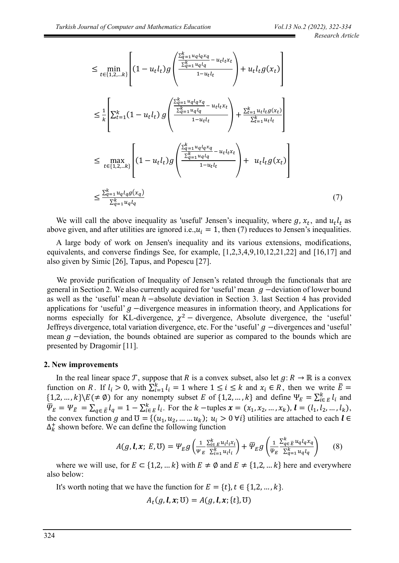$$
\leq \min_{t \in \{1,2,...k\}} \left[ (1 - u_t l_t) g\left( \frac{\frac{\sum_{q=1}^k u_q l_q x_q}{\sum_{q=1}^k u_q l_q} - u_t l_t x_t}{1 - u_t l_t} \right) + u_t l_t g(x_t) \right]
$$
\n
$$
\leq \frac{1}{k} \left[ \sum_{t=1}^k (1 - u_t l_t) g\left( \frac{\frac{\sum_{q=1}^k u_q l_q x_q}{\sum_{q=1}^k u_q l_q} - u_t l_t x_t}{1 - u_t l_t} \right) + \frac{\sum_{t=1}^k u_t l_t g(x_t)}{\sum_{t=1}^k u_t l_t} \right]
$$
\n
$$
\leq \max_{t \in \{1,2,...k\}} \left[ (1 - u_t l_t) g\left( \frac{\frac{\sum_{q=1}^k u_q l_q x_q}{\sum_{q=1}^k u_q l_q} - u_t l_t x_t}{1 - u_t l_t} \right) + u_t l_t g(x_t) \right]
$$
\n
$$
\leq \frac{\sum_{q=1}^k u_q l_q g(x_q)}{\sum_{q=1}^k u_q l_q} \tag{7}
$$

We will call the above inequality as 'useful' Jensen's inequality, where  $g$ ,  $x_t$ , and  $u_t l_t$  as above given, and after utilities are ignored i.e.,  $u_i = 1$ , then (7) reduces to Jensen's inequalities.

A large body of work on Jensen's inequality and its various extensions, modifications, equivalents, and converse findings See, for example, [1,2,3,4,9,10,12,21,22] and [16,17] and also given by Simic [26], Tapus, and Popescu [27].

We provide purification of Inequality of Jensen's related through the functionals that are general in Section 2. We also currently acquired for 'useful' mean  $q$  -deviation of lower bound as well as the 'useful' mean  $h$  –absolute deviation in Section 3. last Section 4 has provided applications for 'useful'  $g$  -divergence measures in information theory, and Applications for norms especially for KL-divergence,  $\chi^2$  – divergence, Absolute divergence, the 'useful' Jeffreys divergence, total variation divergence, etc. For the 'useful'  $g$  -divergences and 'useful' mean  $g$  –deviation, the bounds obtained are superior as compared to the bounds which are presented by Dragomir [11].

#### **2. New improvements**

In the real linear space T, suppose that R is a convex subset, also let  $g: R \to \mathbb{R}$  is a convex function on R. If  $l_i > 0$ , with  $\sum_{i=1}^{k} l_i = 1$  where  $1 \le i \le k$  and  $x_i \in R$ , then we write  $\overline{E} =$  $\{1,2,\ldots,k\}\(E(\neq \emptyset)$  for any nonempty subset E of  $\{1,2,\ldots,k\}$  and define  $\Psi_E = \sum_{i \in E}^k l_i$  and  $\overline{\Psi}_E = \Psi_{\overline{E}} = \sum_{q \in \overline{E}} l_q = 1 - \sum_{i \in E}^k l_i$ . For the  $k$  -tuples  $\mathbf{x} = (x_1, x_2, ..., x_k)$ ,  $\mathbf{l} = (l_1, l_2, ..., l_k)$ , the convex function g and  $\mathcal{U} = \{(u_1, u_2, ..., u_k); u_i > 0 \forall i\}$  utilities are attached to each  $l \in$  $\Delta_k^+$  shown before. We can define the following function

$$
A(g, \mathbf{l}, \mathbf{x}; E, \mathbf{U}) = \Psi_E g \left( \frac{1}{\Psi_E} \frac{\sum_{i \in E}^k u_i l_i x_i}{\sum_{i=1}^k u_i l_i} \right) + \overline{\Psi}_E g \left( \frac{1}{\overline{\Psi}_E} \frac{\sum_{q \in E}^k u_q l_q x_q}{\sum_{q=1}^k u_q l_q} \right) \tag{8}
$$

where we will use, for  $E \subseteq \{1,2,...k\}$  with  $E \neq \emptyset$  and  $E \neq \{1,2,...k\}$  here and everywhere also below:

It's worth noting that we have the function for  $E = \{t\}, t \in \{1,2,...,k\}.$ 

$$
A_t(g, \mathbf{l}, x; \mathbf{U}) = A(g, \mathbf{l}, x; \{t\}, \mathbf{U})
$$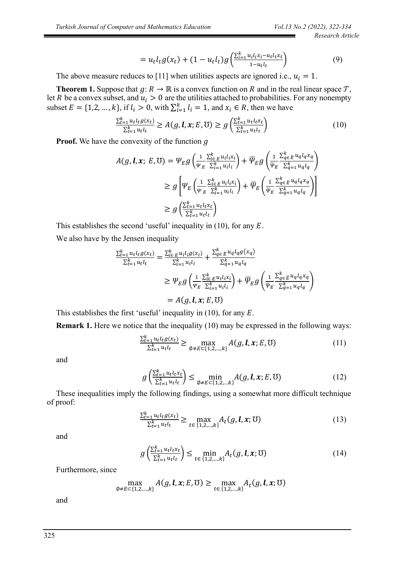$$
=u_t l_t g(x_t) + (1 - u_t l_t) g\left(\frac{\sum_{i=1}^k u_i l_i x_i - u_t l_t x_t}{1 - u_t l_t}\right) \tag{9}
$$

The above measure reduces to [11] when utilities aspects are ignored i.e.,  $u_i = 1$ .

**Theorem 1.** Suppose that  $g: R \to \mathbb{R}$  is a convex function on R and in the real linear space  $T$ , let R be a convex subset, and  $u_i > 0$  are the utilities attached to probabilities. For any nonempty subset  $E = \{1, 2, ..., k\}$ , if  $l_i > 0$ , with  $\sum_{i=1}^{k} l_i = 1$ , and  $x_i \in R$ , then we have

$$
\frac{\sum_{t=1}^{k} u_t l_t g(x_t)}{\sum_{t=1}^{k} u_t l_t} \ge A(g, \mathbf{l}, \mathbf{x}; E, \mathbf{U}) \ge g\left(\frac{\sum_{t=1}^{k} u_t l_t x_t}{\sum_{t=1}^{k} u_t l_t}\right) \tag{10}
$$

**Proof.** We have the convexity of the function g

$$
A(g, l, x; E, \mathbb{U}) = \Psi_E g \left( \frac{1}{\Psi_E} \frac{\sum_{i \in E}^k u_i l_i x_i}{\sum_{i=1}^k u_i l_i} \right) + \overline{\Psi}_E g \left( \frac{1}{\overline{\Psi}_E} \frac{\sum_{q \in E}^k u_q l_q x_q}{\sum_{q=1}^k u_q l_q} \right)
$$
  
\n
$$
\geq g \left[ \Psi_E \left( \frac{1}{\Psi_E} \frac{\sum_{i \in E}^k u_i l_i x_i}{\sum_{i=1}^k u_i l_i} \right) + \overline{\Psi}_E \left( \frac{1}{\overline{\Psi}_E} \frac{\sum_{q \in E}^k u_q l_q x_q}{\sum_{q=1}^k u_q l_q} \right) \right]
$$
  
\n
$$
\geq g \left( \frac{\sum_{i=1}^k u_t l_t x_t}{\sum_{i=1}^k u_t l_t} \right)
$$

This establishes the second 'useful' inequality in  $(10)$ , for any  $E$ .

We also have by the Jensen inequality

$$
\frac{\sum_{t=1}^{k} u_t l_t g(x_t)}{\sum_{t=1}^{k} u_t l_t} = \frac{\sum_{i \in E}^{k} u_i l_i g(x_i)}{\sum_{i=1}^{k} u_i l_i} + \frac{\sum_{q \in E}^{k} u_q l_q g(x_q)}{\sum_{q=1}^{k} u_q l_q}
$$
\n
$$
\geq \Psi_E g\left(\frac{1}{\Psi_E} \frac{\sum_{i \in E}^{k} u_i l_i x_i}{\sum_{i=1}^{k} u_i l_i}\right) + \overline{\Psi}_E g\left(\frac{1}{\Psi_E} \frac{\sum_{q \in E}^{k} u_q l_q x_q}{\sum_{q=1}^{k} u_q l_q}\right)
$$
\n
$$
= A(g, \mathbf{l}, \mathbf{x}; E, \mathbf{U})
$$

This establishes the first 'useful' inequality in  $(10)$ , for any E.

**Remark 1.** Here we notice that the inequality (10) may be expressed in the following ways:

$$
\frac{\sum_{t=1}^{k} u_t l_t g(x_t)}{\sum_{t=1}^{k} u_t l_t} \ge \max_{\emptyset \ne E \subset \{1, 2, \dots, k\}} A(g, \mathbf{l}, \mathbf{x}; E, \mathbf{U})
$$
(11)

and

$$
g\left(\frac{\sum_{t=1}^{k} u_t l_t x_t}{\sum_{t=1}^{k} u_t l_t}\right) \le \min_{\emptyset \ne E \subset \{1, 2, \dots k\}} A(g, \mathbf{l}, \mathbf{x}; E, \mathbf{U})
$$
(12)

These inequalities imply the following findings, using a somewhat more difficult technique of proof:

$$
\frac{\sum_{t=1}^{k} u_t l_t g(x_t)}{\sum_{t=1}^{k} u_t l_t} \ge \max_{t \in \{1, 2, \dots, k\}} A_t(g, \mathbf{l}, \mathbf{x}; \mathbf{U})
$$
\n(13)

and

$$
g\left(\frac{\sum_{t=1}^{k} u_t l_t x_t}{\sum_{t=1}^{k} u_t l_t}\right) \le \min_{t \in \{1, 2, \dots, k\}} A_t(g, \mathbf{l}, \mathbf{x}; \mathbb{U}) \tag{14}
$$

Furthermore, since

$$
\max_{\emptyset \neq E \subset \{1,2,\dots,k\}} A(g, \boldsymbol{l}, \boldsymbol{x}; E, \mathbb{U}) \ge \max_{t \in \{1,2,\dots,k\}} A_t(g, \boldsymbol{l}, \boldsymbol{x}; \mathbb{U})
$$

and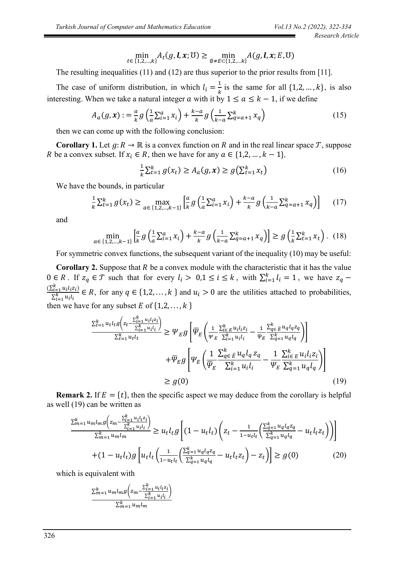$$
\min_{t\in\{1,2,\ldots,k\}}A_t(g,\boldsymbol{l},\boldsymbol{x};\mathbb{U})\geq \min_{\emptyset\neq E\subset\{1,2,\ldots,k\}}A(g,\boldsymbol{l},\boldsymbol{x};E,\mathbb{U})
$$

The resulting inequalities (11) and (12) are thus superior to the prior results from [11].

The case of uniform distribution, in which  $l_i = \frac{1}{k}$  $\frac{1}{k}$  is the same for all  $\{1,2,\ldots,k\}$ , is also interesting. When we take a natural integer a with it by  $1 \le a \le k - 1$ , if we define

$$
A_a(g, x) := \frac{a}{k} g\left(\frac{1}{a} \sum_{i=1}^a x_i\right) + \frac{k-a}{k} g\left(\frac{1}{k-a} \sum_{q=a+1}^k x_q\right)
$$
(15)

then we can come up with the following conclusion:

**Corollary 1.** Let  $g: R \to \mathbb{R}$  is a convex function on R and in the real linear space T, suppose R be a convex subset. If  $x_i \in R$ , then we have for any  $a \in \{1, 2, ..., k - 1\}$ ,

$$
\frac{1}{k} \sum_{t=1}^{k} g(x_t) \ge A_a(g, x) \ge g\left(\sum_{t=1}^{k} x_t\right)
$$
 (16)

We have the bounds, in particular

$$
\frac{1}{k} \sum_{t=1}^{k} g(x_t) \ge \max_{a \in \{1, 2, \dots, k-1\}} \left[ \frac{a}{k} g\left(\frac{1}{a} \sum_{i=1}^{a} x_i\right) + \frac{k-a}{k} g\left(\frac{1}{k-a} \sum_{q=a+1}^{k} x_q\right) \right] \tag{17}
$$

and

$$
\min_{a \in \{1, 2, \dots, k-1\}} \left[ \frac{a}{k} g\left(\frac{1}{a} \sum_{i=1}^{a} x_i\right) + \frac{k-a}{k} g\left(\frac{1}{k-a} \sum_{q=a+1}^{k} x_q\right) \right] \ge g\left(\frac{1}{k} \sum_{t=1}^{k} x_t\right). (18)
$$

For symmetric convex functions, the subsequent variant of the inequality (10) may be useful:

**Corollary 2.** Suppose that  $R$  be a convex module with the characteristic that it has the value  $0 \in R$ . If  $z_q \in \mathcal{T}$  such that for every  $l_i > 0, 1 \le i \le k$ , with  $\sum_{i=1}^k l_i = 1$ , we have  $z_q$  $(\sum_{i=1}^k u_i l_i z_i)$  $\sum_{i=1}^{i=1} u_i u_i \in R$ , for any  $q \in \{1,2,\ldots,k\}$  and  $u_i > 0$  are the utilities attached to probabilities, then we have for any subset  $E$  of  $\{1,2,\ldots,k\}$ 

$$
\frac{\sum_{t=1}^{k} u_t l_t g\left(z_t - \frac{\sum_{i=1}^{k} u_i l_i z_i}{\sum_{i=1}^{k} u_i l_i}\right)}{\sum_{t=1}^{k} u_t l_t} \geq \Psi_E g\left[\overline{\Psi}_E \left(\frac{1}{\Psi_E} \frac{\sum_{i \in E}^{k} u_i l_i z_i}{\sum_{i=1}^{k} u_i l_i} - \frac{1}{\Psi_E} \frac{\sum_{q \in E}^{k} u_q l_q z_q}{\sum_{q=1}^{k} u_q l_q}\right)\right] + \overline{\Psi}_E g\left[\Psi_E \left(\frac{1}{\overline{\Psi}_E} \frac{\sum_{q \in E}^{k} u_q l_q z_q}{\sum_{i=1}^{k} u_i l_i} - \frac{1}{\Psi_E} \frac{\sum_{i \in E}^{k} u_i l_i z_i}{\sum_{q=1}^{k} u_q l_q}\right)\right] \geq g(0)
$$
\n(19)

**Remark 2.** If  $E = \{t\}$ , then the specific aspect we may deduce from the corollary is helpful as well (19) can be written as

$$
\frac{\sum_{m=1}^{k} u_m l_m g\left(z_m - \frac{\sum_{i=1}^{k} u_i l_i z_i}{\sum_{i=1}^{k} u_i l_i}\right)}{\sum_{m=1}^{k} u_m l_m} \ge u_t l_t g\left[ (1 - u_t l_t) \left( z_t - \frac{1}{1 - u_t l_t} \left( \frac{\sum_{q=1}^{k} u_q l_q z_q}{\sum_{q=1}^{k} u_q l_q} - u_t l_t z_t \right) \right) \right]
$$
\n
$$
+ (1 - u_t l_t) g\left[ u_t l_t \left( \frac{1}{1 - u_t l_t} \left( \frac{\sum_{q=1}^{k} u_q l_q z_q}{\sum_{q=1}^{k} u_q l_q} - u_t l_t z_t \right) - z_t \right) \right] \ge g(0) \tag{20}
$$

which is equivalent with

$$
\frac{\sum_{m=1}^{k} u_m l_m g\left(z_m - \frac{\sum_{i=1}^{k} u_i l_i z_i}{\sum_{i=1}^{k} u_i l_i}\right)}{\sum_{m=1}^{k} u_m l_m}
$$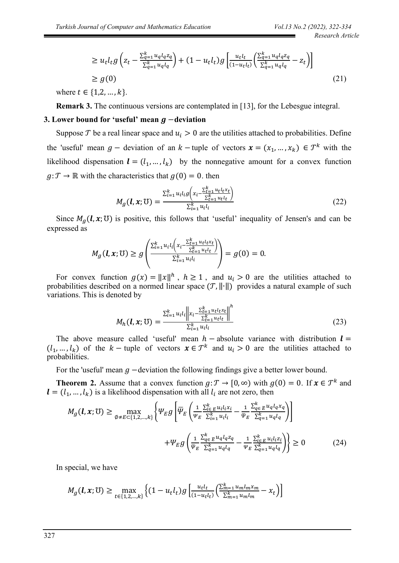$$
\geq u_t l_t g\left(z_t - \frac{\sum_{q=1}^k u_q l_q z_q}{\sum_{q=1}^k u_q l_q}\right) + (1 - u_t l_t) g\left[\frac{u_t l_t}{(1 - u_t l_t)} \left(\frac{\sum_{q=1}^k u_q l_q z_q}{\sum_{q=1}^k u_q l_q} - z_t\right)\right]
$$
\n
$$
\geq g(0)
$$
\n(21)

where  $t \in \{1, 2, ..., k\}$ .

**Remark 3.** The continuous versions are contemplated in [13], for the Lebesgue integral.

## **3.** Lower bound for 'useful' mean *g* −deviation

Suppose  $\mathcal T$  be a real linear space and  $u_i > 0$  are the utilities attached to probabilities. Define the 'useful' mean  $g$  – deviation of an  $k$  – tuple of vectors  $\mathbf{x} = (x_1, ..., x_k) \in \mathcal{T}^k$  with the likelihood dispensation  $\mathbf{l} = (l_1, ..., l_k)$  by the nonnegative amount for a convex function  $g: \mathcal{F} \to \mathbb{R}$  with the characteristics that  $g(0) = 0$ . then

$$
M_g(\bm{l}, \bm{x}; \bm{\mathrm{U}}) = \frac{\sum_{i=1}^k u_i l_i g\left(x_i - \frac{\sum_{t=1}^k u_t l_t x_t}{\sum_{t=1}^k u_t l_t}\right)}{\sum_{i=1}^k u_i l_i}
$$
(22)

Since  $M_a(l, x; \mathbb{U})$  is positive, this follows that 'useful' inequality of Jensen's and can be expressed as

$$
M_g(\bm{l}, \bm{x}; \bm{\upsilon}) \geq g\left(\frac{\sum_{i=1}^k u_i l_i \left(x_i - \frac{\sum_{t=1}^k u_t l_t x_t}{\sum_{t=1}^k u_t l_t}\right)}{\sum_{i=1}^k u_i l_i}\right) = g(0) = 0.
$$

For convex function  $g(x) = ||x||^h$ ,  $h \ge 1$ , and  $u_i > 0$  are the utilities attached to probabilities described on a normed linear space  $(T, ||\cdot||)$  provides a natural example of such variations. This is denoted by

$$
M_h(\boldsymbol{l}, \boldsymbol{x}; \mathbb{U}) = \frac{\sum_{i=1}^k u_i l_i \left\| x_i - \frac{\sum_{t=1}^k u_t l_t x_t}{\sum_{t=1}^k u_t l_t} \right\|^h}{\sum_{i=1}^k u_i l_i}
$$
(23)

The above measure called 'useful' mean  $h -$  absolute variance with distribution  $l =$  $(l_1, ..., l_k)$  of the  $k$  – tuple of vectors  $x \in \mathcal{T}^k$  and  $u_i > 0$  are the utilities attached to probabilities.

For the 'useful' mean  $g$  -deviation the following findings give a better lower bound.

**Theorem 2.** Assume that a convex function  $g: \mathcal{T} \to [0, \infty)$  with  $g(0) = 0$ . If  $x \in \mathcal{T}^k$  and  $l = (l_1, ..., l_k)$  is a likelihood dispensation with all  $l_i$  are not zero, then

$$
M_g(\mathbf{l}, \mathbf{x}; \mathbf{U}) \ge \max_{\emptyset \neq E \subset \{1, 2, ..., k\}} \left\{ \Psi_E g \left[ \overline{\Psi}_E \left( \frac{1}{\Psi_E} \frac{\sum_{i \in E}^k u_i l_i x_i}{\sum_{i=1}^k u_i l_i} - \frac{1}{\Psi_E} \frac{\sum_{q \in E}^k u_q l_q x_q}{\sum_{q=1}^k u_q l_q} \right) \right] \right\}
$$
  
+ 
$$
\Psi_E g \left( \frac{1}{\Psi_E} \frac{\sum_{q \in E}^k u_q l_q z_q}{\sum_{q=1}^k u_q l_q} - \frac{1}{\Psi_E} \frac{\sum_{i \in E}^k u_i l_i z_i}{\sum_{q=1}^k u_q l_q} \right) \right\} \ge 0
$$
 (24)

In special, we have

$$
M_g(\boldsymbol{l}, x; \mathbb{U}) \ge \max_{t \in \{1, 2, \dots, k\}} \left\{ (1 - u_t l_t) g \left[ \frac{u_t l_t}{(1 - u_t l_t)} \left( \frac{\sum_{m=1}^k u_m l_m x_m}{\sum_{m=1}^k u_m l_m} - x_t \right) \right] \right\}
$$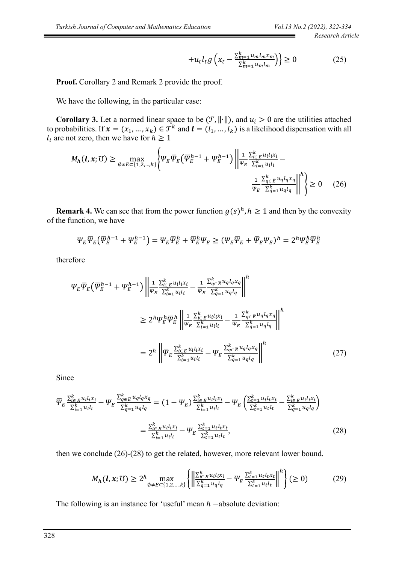$$
+u_t l_t g\left(x_t - \frac{\sum_{m=1}^k u_m l_m x_m}{\sum_{m=1}^k u_m l_m}\right)\ge 0\tag{25}
$$

**Proof.** Corollary 2 and Remark 2 provide the proof.

We have the following, in the particular case:

**Corollary 3.** Let a normed linear space to be  $(T, ||\cdot||)$ , and  $u_i > 0$  are the utilities attached to probabilities. If  $x = (x_1, ..., x_k) \in \mathcal{T}^k$  and  $\mathbf{l} = (l_1, ..., l_k)$  is a likelihood dispensation with all  $l_i$  are not zero, then we have for  $h \ge 1$ 

$$
M_h(\mathbf{l}, \mathbf{x}; \mathbb{U}) \ge \max_{\emptyset \neq E \subset \{1, 2, \dots, k\}} \left\{ \Psi_E \overline{\Psi}_E \left( \overline{\Psi}_E^{h-1} + \Psi_E^{h-1} \right) \left\| \frac{1}{\Psi_E} \frac{\Sigma_{i \in E}^k u_i l_i x_i}{\Sigma_{i=1}^k u_i l_i} - \frac{1}{\overline{\Psi}_E} \frac{\Sigma_{q \in E}^k u_q l_q x_q}{\Sigma_{q=1}^k u_q l_q} \right\|^h \right\} \ge 0 \quad (26)
$$

**Remark 4.** We can see that from the power function  $g(s)^h$ ,  $h \ge 1$  and then by the convexity of the function, we have

$$
\varPsi_E \overline{\varPsi}_E \left( \overline{\varPsi}_E^{h-1} + \varPsi_E^{h-1} \right) = \varPsi_E \overline{\varPsi}_E^h + \overline{\varPsi}_E^h \varPsi_E \geq (\varPsi_E \overline{\varPsi}_E + \overline{\varPsi}_E \varPsi_E)^h = 2^h \varPsi_E^h \overline{\varPsi}_E^h
$$

therefore

$$
\Psi_{E}\overline{\Psi}_{E}\left(\overline{\Psi}_{E}^{h-1} + \Psi_{E}^{h-1}\right) \left\| \frac{1}{\Psi_{E}} \frac{\sum_{i \in E}^{k} u_{i} l_{i} x_{i}}{\sum_{i=1}^{k} u_{i} l_{i}} - \frac{1}{\Psi_{E}} \frac{\sum_{q \in E}^{k} u_{q} l_{q} x_{q}}{\sum_{q=1}^{k} u_{q} l_{q}} \right\|^{h}
$$
\n
$$
\geq 2^{h} \Psi_{E}^{h} \overline{\Psi}_{E}^{h} \left\| \frac{1}{\Psi_{E}} \frac{\sum_{i \in E}^{k} u_{i} l_{i} x_{i}}{\sum_{i=1}^{k} u_{i} l_{i}} - \frac{1}{\Psi_{E}} \frac{\sum_{q \in E}^{k} u_{q} l_{q} x_{q}}{\sum_{q=1}^{k} u_{q} l_{q}} \right\|^{h}
$$
\n
$$
= 2^{h} \left\| \overline{\Psi}_{E} \frac{\sum_{i \in E}^{k} u_{i} l_{i} x_{i}}{\sum_{i=1}^{k} u_{i} l_{i}} - \Psi_{E} \frac{\sum_{q \in E}^{k} u_{q} l_{q} x_{q}}{\sum_{q=1}^{k} u_{q} l_{q}} \right\|^{h}
$$
\n
$$
(27)
$$

Since

$$
\overline{\Psi}_{E} \frac{\sum_{i \in E}^{k} u_{i} l_{i} x_{i}}{\sum_{i=1}^{k} u_{i} l_{i}} - \Psi_{E} \frac{\sum_{q \in E}^{k} u_{q} l_{q} x_{q}}{\sum_{q=1}^{k} u_{q} l_{q}} = (1 - \Psi_{E}) \frac{\sum_{i \in E}^{k} u_{i} l_{i} x_{i}}{\sum_{i=1}^{k} u_{i} l_{i}} - \Psi_{E} \left( \frac{\sum_{t=1}^{k} u_{t} l_{t} x_{t}}{\sum_{t=1}^{k} u_{t} l_{t}} - \frac{\sum_{i \in E}^{k} u_{i} l_{i} x_{i}}{\sum_{q=1}^{k} u_{q} l_{q}} \right)
$$
\n
$$
= \frac{\sum_{i \in E}^{k} u_{i} l_{i} x_{i}}{\sum_{i=1}^{k} u_{i} l_{i}} - \Psi_{E} \frac{\sum_{t=1}^{k} u_{t} l_{t} x_{t}}{\sum_{t=1}^{k} u_{t} l_{t}},
$$
\n(28)

then we conclude (26)-(28) to get the related, however, more relevant lower bound.

$$
M_h(\mathbf{l}, \mathbf{x}; \mathbb{U}) \ge 2^h \max_{\emptyset \neq E \subset \{1, 2, \dots, k\}} \left\{ \left\| \frac{\sum_{i \in E}^k u_i l_i x_i}{\sum_{q=1}^k u_q l_q} - \Psi_E \frac{\sum_{t=1}^k u_t l_t x_t}{\sum_{t=1}^k u_t l_t} \right\|^h \right\} (\ge 0) \tag{29}
$$

The following is an instance for 'useful' mean  $h$  –absolute deviation: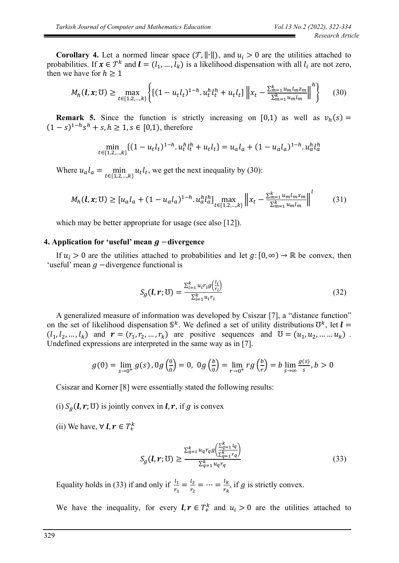**Corollary 4.** Let a normed linear space  $(T, ||\cdot||)$ , and  $u_i > 0$  are the utilities attached to probabilities. If  $x \in \mathcal{T}^k$  and  $\mathbf{l} = (l_1, ..., l_k)$  is a likelihood dispensation with all  $l_i$  are not zero, then we have for  $h \geq 1$ 

$$
M_h(\mathbf{l}, \mathbf{x}; \mathbb{U}) \ge \max_{t \in \{1, 2, \dots, k\}} \left\{ \left[ (1 - u_t l_t)^{1 - h} \cdot u_t^h l_t^h + u_t l_t \right] \left\| x_t - \frac{\sum_{m=1}^k u_m l_m z_m}{\sum_{m=1}^k u_m l_m} \right\|^h \right\} \tag{30}
$$

**Remark 5.** Since the function is strictly increasing on [0,1) as well as  $v_h(s)$  =  $(1 - s)^{1 - h} s^h + s, h \ge 1, s \in [0, 1)$ , therefore

$$
\min_{t \in \{1, 2, \dots, k\}} \{ (1 - u_t l_t)^{1 - h} \cdot u_t^h l_t^h + u_t l_t \} = u_a l_a + (1 - u_a l_a)^{1 - h} \cdot u_a^h l_a^h
$$

Where  $u_a l_a = \min_{t \in \{1, 2, \dots, k\}} u_t l_t$ , we get the next inequality by (30):

$$
M_h(\mathbf{l}, \mathbf{x}; \mathbf{U}) \ge [u_a l_a + (1 - u_a l_a)^{1-h} \cdot u_a^h l_a^h] \max_{t \in \{1, 2, \dots, k\}} \left\| x_t - \frac{\sum_{m=1}^k u_m l_m x_m}{\sum_{m=1}^k u_m l_m} \right\|^l \tag{31}
$$

which may be better appropriate for usage (see also [12]).

### **4.** Application for 'useful' mean  $q$  −divergence

If  $u_i > 0$  are the utilities attached to probabilities and let  $g: [0, \infty) \to \mathbb{R}$  be convex, then 'useful' mean  $q$  -divergence functional is

$$
S_g(\boldsymbol{l}, \boldsymbol{r}; \mathbb{U}) = \frac{\sum_{i=1}^k u_i r_i g\left(\frac{l_i}{r_i}\right)}{\sum_{i=1}^k u_i r_i} \tag{32}
$$

A generalized measure of information was developed by Csiszar [7], a "distance function" on the set of likelihood dispensation  $\mathbb{S}^k$ . We defined a set of utility distributions  $\mathbb{U}^k$ , let  $\mathbf{l} =$  $(l_1, l_2, ..., l_k)$  and  $r = (r_1, r_2, ..., r_k)$  are positive sequences and  $U = (u_1, u_2, ..., u_k)$ . Undefined expressions are interpreted in the same way as in [7].

$$
g(0) = \lim_{s \to 0^+} g(s), 0 g\left(\frac{0}{0}\right) = 0, \ 0 g\left(\frac{b}{0}\right) = \lim_{r \to 0^+} rg\left(\frac{b}{r}\right) = b \lim_{s \to \infty} \frac{g(s)}{s}, b > 0
$$

Csiszar and Korner [8] were essentially stated the following results:

- (i)  $S_g(\mathbf{l}, \mathbf{r}; \mathbf{U})$  is jointly convex in  $\mathbf{l}, \mathbf{r}$ , if g is convex
- (ii) We have,  $\forall$  **l**,  $r \in T^k_+$

$$
S_g(\boldsymbol{l}, \boldsymbol{r}; \mathbb{U}) \ge \frac{\sum_{q=1}^k u_q r_q g\left(\frac{\sum_{q=1}^k l_q}{\sum_{q=1}^k r_q}\right)}{\sum_{q=1}^k u_q r_q} \tag{33}
$$

Equality holds in (33) if and only if  $\frac{l_1}{r_1} = \frac{l_2}{r_2}$  $\frac{l_2}{r_2} = \cdots = \frac{l_k}{r_k}$  $\frac{d}{r_k}$ , if g is strictly convex.

We have the inequality, for every  $l, r \in T^k_+$  and  $u_i > 0$  are the utilities attached to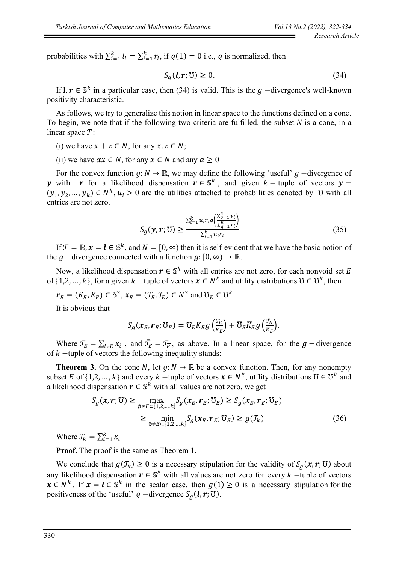probabilities with  $\sum_{i=1}^{k} l_i = \sum_{i=1}^{k} r_i$ , if  $g(1) = 0$  i.e., g is normalized, then

$$
S_g(l, r; \mathbf{U}) \ge 0. \tag{34}
$$

If **l**,  $r \in \mathbb{S}^k$  in a particular case, then (34) is valid. This is the  $g$  -divergence's well-known positivity characteristic.

As follows, we try to generalize this notion in linear space to the functions defined on a cone. To begin, we note that if the following two criteria are fulfilled, the subset  $N$  is a cone, in a linear space  $\mathcal{T}$ :

- (i) we have  $x + z \in N$ , for any  $x, z \in N$ ;
- (ii) we have  $\alpha x \in N$ , for any  $x \in N$  and any  $\alpha \geq 0$

For the convex function  $g: N \to \mathbb{R}$ , we may define the following 'useful'  $g$  –divergence of y with r for a likelihood dispensation  $r \in \mathbb{S}^k$ , and given  $k$  – tuple of vectors  $y =$  $(y_1, y_2, ..., y_k) \in N^k$ ,  $u_i > 0$  are the utilities attached to probabilities denoted by  $\sigma$  with all entries are not zero.

$$
S_g(\mathbf{y}, \mathbf{r}; \mathbf{U}) \ge \frac{\sum_{i=1}^k u_i r_i g\left(\frac{\sum_{q=1}^k y_i}{\sum_{q=1}^k r_i}\right)}{\sum_{i=1}^k u_i r_i}
$$
(35)

If  $\mathcal{T} = \mathbb{R}, x = \mathbf{l} \in \mathbb{S}^k$ , and  $N = [0, \infty)$  then it is self-evident that we have the basic notion of the  $g$  –divergence connected with a function  $g: [0, \infty) \to \mathbb{R}$ .

Now, a likelihood dispensation  $r \in \mathbb{S}^k$  with all entries are not zero, for each nonvoid set E of  $\{1, 2, ..., k\}$ , for a given  $k$  -tuple of vectors  $x \in N^k$  and utility distributions  $\mathfrak{V} \in \mathfrak{V}^k$ , then

$$
\boldsymbol{r}_E = (K_E, \overline{K}_E) \in \mathbb{S}^2, \boldsymbol{x}_E = (\mathcal{T}_E, \overline{\mathcal{T}}_E) \in N^2 \text{ and } \mathcal{U}_E \in \mathcal{U}^k
$$

It is obvious that

$$
S_g(\boldsymbol{x}_E,\boldsymbol{r}_E;\mathbb{U}_E) = \mathbb{U}_E K_E g\left(\frac{\mathcal{T}_E}{K_E}\right) + \overline{\mathbb{U}}_E \overline{K}_E g\left(\frac{\overline{\mathcal{T}}_E}{\overline{K}_E}\right).
$$

Where  $T_E = \sum_{i \in E} x_i$ , and  $\bar{T}_E = T_{\bar{E}}$ , as above. In a linear space, for the  $g$  -divergence of  $k$  –tuple of vectors the following inequality stands:

**Theorem 3.** On the cone N, let  $g: N \to \mathbb{R}$  be a convex function. Then, for any nonempty subset E of  $\{1,2,...,k\}$  and every  $k$  -tuple of vectors  $x \in N^k$ , utility distributions  $\mathbb{U} \in \mathbb{U}^k$  and a likelihood dispensation  $r \in \mathbb{S}^k$  with all values are not zero, we get

$$
S_g(\boldsymbol{x}, \boldsymbol{r}; \mathcal{U}) \ge \max_{\emptyset \neq E \subset \{1, 2, \dots, k\}} S_g(\boldsymbol{x}_E, \boldsymbol{r}_E; \mathcal{U}_E) \ge S_g(\boldsymbol{x}_E, \boldsymbol{r}_E; \mathcal{U}_E)
$$
  
 
$$
\ge \min_{\emptyset \neq E \subset \{1, 2, \dots, k\}} S_g(\boldsymbol{x}_E, \boldsymbol{r}_E; \mathcal{U}_E) \ge g(\mathcal{J}_k)
$$
(36)

Where  $\mathcal{T}_k = \sum_{i=1}^k x_i$ 

**Proof.** The proof is the same as Theorem 1.

We conclude that  $g(\mathcal{T}_k) \ge 0$  is a necessary stipulation for the validity of  $S_g(x, r; \mathbb{U})$  about any likelihood dispensation  $r \in \mathbb{S}^k$  with all values are not zero for every  $k$  -tuple of vectors  $x \in N^k$ . If  $x = l \in \mathbb{S}^k$  in the scalar case, then  $g(1) \ge 0$  is a necessary stipulation for the positiveness of the 'useful'  $g$  -divergence  $S_g(\mathbf{l}, \mathbf{r}; \mathbf{U})$ .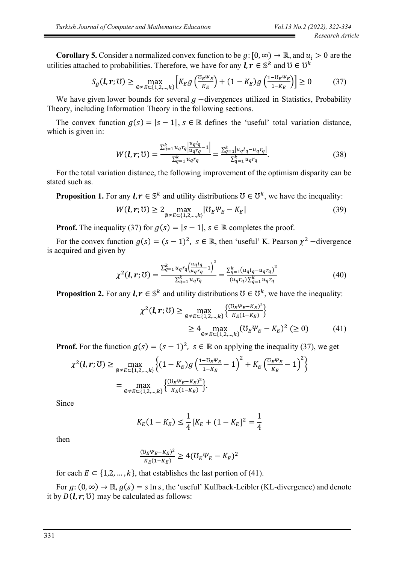**Corollary 5.** Consider a normalized convex function to be  $g: [0, \infty) \to \mathbb{R}$ , and  $u_i > 0$  are the utilities attached to probabilities. Therefore, we have for any  $\bm{l}, \bm{r} \in \mathbb{S}^k$  and  $\bm{\mathcal{U}} \in \bm{\mathcal{U}}^k$ 

$$
S_g(\boldsymbol{l}, \boldsymbol{r}; \mathbb{U}) \ge \max_{\emptyset \neq E \subset \{1, 2, \dots, k\}} \left[ K_E g \left( \frac{\sigma_E \psi_E}{K_E} \right) + (1 - K_E) g \left( \frac{1 - \sigma_E \psi_E}{1 - K_E} \right) \right] \ge 0 \tag{37}
$$

We have given lower bounds for several  $q$  -divergences utilized in Statistics, Probability Theory, including Information Theory in the following sections.

The convex function  $g(s) = |s - 1|$ ,  $s \in \mathbb{R}$  defines the 'useful' total variation distance, which is given in:

$$
W(\mathbf{l}, \mathbf{r}; \mathbf{U}) = \frac{\sum_{q=1}^{k} u_q r_q \left| \frac{u_q l_q}{u_q r_q} - 1 \right|}{\sum_{q=1}^{k} u_q r_q} = \frac{\sum_{q=1}^{k} |u_q l_q - u_q r_q|}{\sum_{q=1}^{k} u_q r_q}.
$$
(38)

For the total variation distance, the following improvement of the optimism disparity can be stated such as.

**Proposition 1.** For any  $l, r \in \mathbb{S}^k$  and utility distributions  $\mathbb{U} \in \mathbb{U}^k$ , we have the inequality:

$$
W(\boldsymbol{l}, \boldsymbol{r}; \mathbb{U}) \ge 2 \max_{\emptyset \neq E \subset \{1, 2, \dots, k\}} |\mathbb{U}_E \Psi_E - K_E|
$$
\n(39)

**Proof.** The inequality (37) for  $g(s) = |s - 1|$ ,  $s \in \mathbb{R}$  completes the proof.

For the convex function  $g(s) = (s - 1)^2$ ,  $s \in \mathbb{R}$ , then 'useful' K. Pearson  $\chi^2$  -divergence is acquired and given by

$$
\chi^{2}(\mathbf{l}, \mathbf{r}; \mathbf{U}) = \frac{\sum_{q=1}^{k} u_q r_q \left(\frac{u_q l_q}{u_q r_q} - 1\right)^2}{\sum_{q=1}^{k} u_q r_q} = \frac{\sum_{q=1}^{k} (u_q l_q - u_q r_q)^2}{(u_q r_q) \sum_{q=1}^{k} u_q r_q}
$$
(40)

**Proposition 2.** For any  $l, r \in \mathbb{S}^k$  and utility distributions  $\mathbb{U} \in \mathbb{U}^k$ , we have the inequality:

$$
\chi^{2}(l, r; \mathbb{U}) \ge \max_{\emptyset \neq E \subset \{1, 2, \dots, k\}} \left\{ \frac{(\mathbb{U}_{E} \Psi_{E} - K_{E})^{2}}{K_{E}(1 - K_{E})} \right\}
$$
  
\n
$$
\geq 4 \max_{\emptyset \neq E \subset \{1, 2, \dots, k\}} (\mathbb{U}_{E} \Psi_{E} - K_{E})^{2} \ (\geq 0)
$$
 (41)

**Proof.** For the function  $g(s) = (s - 1)^2$ ,  $s \in \mathbb{R}$  on applying the inequality (37), we get

$$
\chi^{2}(l, r; \mathbb{U}) \ge \max_{\emptyset \neq E \subset \{1, 2, \dots, k\}} \left\{ (1 - K_{E}) g \left( \frac{1 - \mathbb{U}_{E} \psi_{E}}{1 - K_{E}} - 1 \right)^{2} + K_{E} \left( \frac{\mathbb{U}_{E} \psi_{E}}{K_{E}} - 1 \right)^{2} \right\}
$$
\n
$$
= \max_{\emptyset \neq E \subset \{1, 2, \dots, k\}} \left\{ \frac{(\mathbb{U}_{E} \psi_{E} - K_{E})^{2}}{K_{E} (1 - K_{E})} \right\}.
$$

Since

$$
K_E(1 - K_E) \le \frac{1}{4} [K_E + (1 - K_E]^2 = \frac{1}{4}
$$

then

$$
\frac{(\mathbf{U}_E \Psi_E - K_E)^2}{K_E (1 - K_E)} \ge 4 (\mathbf{U}_E \Psi_E - K_E)^2
$$

for each  $E \subset \{1,2,\ldots,k\}$ , that establishes the last portion of (41).

For  $g: (0, \infty) \to \mathbb{R}$ ,  $g(s) = s \ln s$ , the 'useful' Kullback-Leibler (KL-divergence) and denote it by  $D(l, r; \mathbb{U})$  may be calculated as follows: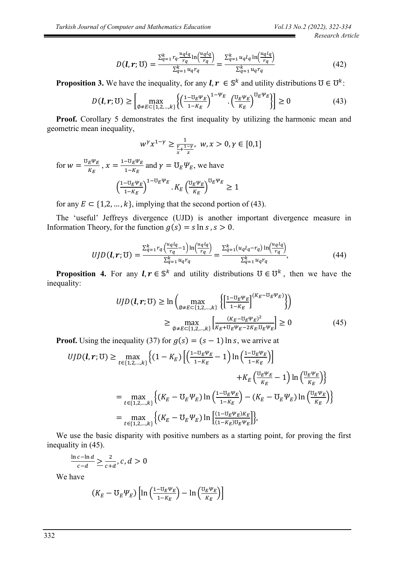$$
D(\boldsymbol{l}, \boldsymbol{r}; \mathbf{U}) = \frac{\sum_{q=1}^{k} r_q \cdot \frac{u_q l_q}{r_q} \ln\left(\frac{u_q l_q}{r_q}\right)}{\sum_{q=1}^{k} u_q r_q} = \frac{\sum_{q=1}^{k} u_q l_q \ln\left(\frac{u_q l_q}{r_q}\right)}{\sum_{q=1}^{k} u_q r_q}
$$
(42)

**Proposition 3.** We have the inequality, for any  $l, r \in \mathbb{S}^k$  and utility distributions  $\mathbb{U} \in \mathbb{U}^k$ :

$$
D(\boldsymbol{l}, \boldsymbol{r}; \mathcal{U}) \ge \left[ \max_{\emptyset \neq E \subset \{1, 2, \dots, k\}} \left\{ \left( \frac{1 - \mathbb{U}_E \Psi_E}{1 - K_E} \right)^{1 - \Psi_E} \cdot \left( \frac{\mathbb{U}_E \Psi_E}{K_E} \right)^{\mathbb{U}_E \Psi_E} \right\} \right] \ge 0 \tag{43}
$$

**Proof.** Corollary 5 demonstrates the first inequality by utilizing the harmonic mean and geometric mean inequality,

$$
w^{\gamma} x^{1-\gamma} \ge \frac{1}{\frac{\gamma}{x} + \frac{1-\gamma}{z}}, \ w, x > 0, \gamma \in [0,1]
$$

for  $w = \frac{\sigma_E \psi_E}{\nu}$  $\frac{E^{\Psi}E}{K_E}$ ,  $x = \frac{1 - \mathbb{U}_E \Psi_E}{1 - K_E}$  $\frac{-\sigma_E + E}{1 - K_E}$  and  $\gamma = \mathcal{U}_E \Psi_E$ , we have  $\left(\frac{1-\mathfrak{V}_E\Psi_E}{1-\mathfrak{V}_E}\right)$  $\frac{-E_{E}E_{E}}{1-K_{E}}$ ) 1− $\sigma_E \Psi_E$ .  $K_E\left(\frac{\sigma_E \Psi_E}{\kappa_E}\right)$  $\frac{E^T E}{K_E}$  $\mathfrak{v}_E \Psi_E$ ≥ 1

for any  $E \subset \{1,2,\ldots,k\}$ , implying that the second portion of (43).

The 'useful' Jeffreys divergence (UJD) is another important divergence measure in Information Theory, for the function  $g(s) = s \ln s$ ,  $s > 0$ .

$$
UJD(\boldsymbol{l},\boldsymbol{r};\mathbb{U}) = \frac{\sum_{q=1}^{k} r_q \cdot \left(\frac{u_q l_q}{r_q} - 1\right) \ln\left(\frac{u_q l_q}{r_q}\right)}{\sum_{q=1}^{k} u_q r_q} = \frac{\sum_{q=1}^{k} (u_q l_q - r_q) \ln\left(\frac{u_q l_q}{r_q}\right)}{\sum_{q=1}^{k} u_q r_q},\tag{44}
$$

**Proposition 4.** For any  $l, r \in \mathbb{S}^k$  and utility distributions  $\mathbb{U} \in \mathbb{U}^k$ , then we have the inequality:

$$
UJD(\boldsymbol{l}, \boldsymbol{r}; \mathbb{U}) \ge \ln \left( \max_{\emptyset \neq E \subset \{1, 2, \dots, k\}} \left\{ \left[ \frac{1 - \mathbb{U}_E \Psi_E}{1 - K_E} \right]^{(K_E - \mathbb{U}_E \Psi_E)} \right\} \right)
$$
  

$$
\ge \max_{\emptyset \neq E \subset \{1, 2, \dots, k\}} \left[ \frac{(K_E - \mathbb{U}_E \Psi_E)^2}{K_E + \mathbb{U}_E \Psi_E - 2K_E \mathbb{U}_E \Psi_E} \right] \ge 0
$$
 (45)

**Proof.** Using the inequality (37) for  $g(s) = (s - 1) \ln s$ , we arrive at

$$
UJD(\boldsymbol{l}, \boldsymbol{r}; \mathfrak{V}) \ge \max_{t \in \{1, 2, \ldots, k\}} \left\{ (1 - K_E) \left[ \left( \frac{1 - \mathbb{U}_E \Psi_E}{1 - K_E} - 1 \right) \ln \left( \frac{1 - \mathbb{U}_E \Psi_E}{1 - K_E} \right) \right] \right\}
$$
  
\n
$$
+ K_E \left( \frac{\mathbb{U}_E \Psi_E}{K_E} - 1 \right) \ln \left( \frac{\mathbb{U}_E \Psi_E}{K_E} \right) \right\}
$$
  
\n
$$
= \max_{t \in \{1, 2, \ldots, k\}} \left\{ (K_E - \mathbb{U}_E \Psi_E) \ln \left( \frac{1 - \mathbb{U}_E \Psi_E}{1 - K_E} \right) - (K_E - \mathbb{U}_E \Psi_E) \ln \left( \frac{\mathbb{U}_E \Psi_E}{K_E} \right) \right\}
$$
  
\n
$$
= \max_{t \in \{1, 2, \ldots, k\}} \left\{ (K_E - \mathbb{U}_E \Psi_E) \ln \left[ \frac{(1 - \mathbb{U}_E \Psi_E) K_E}{(1 - K_E) \mathbb{U}_E \Psi_E} \right] \right\},
$$

We use the basic disparity with positive numbers as a starting point, for proving the first inequality in (45).

$$
\frac{\ln c - \ln d}{c - d} \ge \frac{2}{c + d}, c, d > 0
$$

We have

$$
(K_E - \mathbb{U}_E \Psi_E) \left[ \ln \left( \frac{1 - \mathbb{U}_E \Psi_E}{1 - K_E} \right) - \ln \left( \frac{\mathbb{U}_E \Psi_E}{K_E} \right) \right]
$$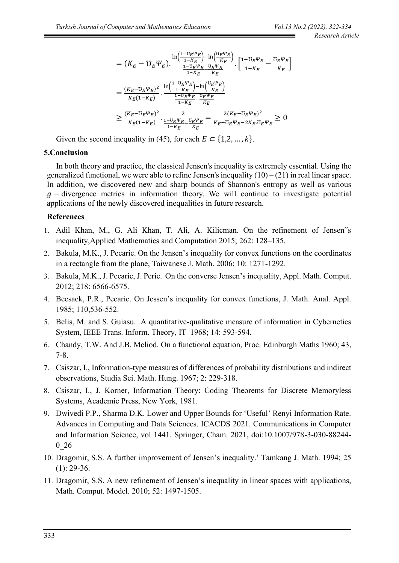$$
= (K_E - \mathbf{U}_E \Psi_E). \frac{\ln(\frac{1 - \mathbf{U}_E \Psi_E}{1 - K_E}) - \ln(\frac{\mathbf{U}_E \Psi_E}{K_E})}{\frac{1 - \mathbf{U}_E \Psi_E}{1 - K_E} \cdot \frac{[\frac{1 - \mathbf{U}_E \Psi_E}{K_E} - \frac{\mathbf{U}_E \Psi_E}{K_E}]}{K_E}]}
$$
\n
$$
= \frac{(K_E - \mathbf{U}_E \Psi_E)^2}{K_E (1 - K_E)} \cdot \frac{\ln(\frac{1 - \mathbf{U}_E \Psi_E}{1 - K_E}) - \ln(\frac{\mathbf{U}_E \Psi_E}{K_E})}{\frac{1 - \mathbf{U}_E \Psi_E}{1 - K_E} \cdot \frac{\mathbf{U}_E \Psi_E}{K_E}}}{\frac{K_E - \mathbf{U}_E \Psi_E)^2}{\frac{1 - \mathbf{U}_E \Psi_E}{K_E} \cdot \frac{\mathbf{U}_E \Psi_E}{K_E}}}
$$
\n
$$
\geq \frac{(K_E - \mathbf{U}_E \Psi_E)^2}{K_E (1 - K_E)} \cdot \frac{2}{\frac{1 - \mathbf{U}_E \Psi_E}{1 - K_E} \cdot \frac{\mathbf{U}_E \Psi_E}{K_E}} = \frac{2(K_E - \mathbf{U}_E \Psi_E)^2}{K_E + \mathbf{U}_E \Psi_E - 2K_E \cdot \mathbf{U}_E \Psi_E} \geq 0
$$

Given the second inequality in (45), for each  $E \subset \{1,2,\dots,k\}.$ 

# **5.Conclusion**

In both theory and practice, the classical Jensen's inequality is extremely essential. Using the generalized functional, we were able to refine Jensen's inequality  $(10) - (21)$  in real linear space. In addition, we discovered new and sharp bounds of Shannon's entropy as well as various  $g$  – divergence metrics in information theory. We will continue to investigate potential applications of the newly discovered inequalities in future research.

# **References**

- 1. Adil Khan, M., G. Ali Khan, T. Ali, A. Kilicman. On the refinement of Jensen"s inequality,Applied Mathematics and Computation 2015; 262: 128–135.
- 2. Bakula, M.K., J. Pecaric. On the Jensen's inequality for convex functions on the coordinates in a rectangle from the plane, Taiwanese J. Math. 2006; 10: 1271-1292.
- 3. Bakula, M.K., J. Pecaric, J. Peric. On the converse Jensen's inequality, Appl. Math. Comput. 2012; 218: 6566-6575.
- 4. Beesack, P.R., Pecaric. On Jessen's inequality for convex functions, J. Math. Anal. Appl. 1985; 110,536-552.
- 5. Belis, M. and S. Guiasu. A quantitative-qualitative measure of information in Cybernetics System, IEEE Trans. Inform. Theory, IT 1968; 14: 593-594.
- 6. Chandy, T.W. And J.B. Mcliod. On a functional equation, Proc. Edinburgh Maths 1960; 43, 7-8.
- 7. Csiszar, I., Information-type measures of differences of probability distributions and indirect observations, Studia Sci. Math. Hung. 1967; 2: 229-318.
- 8. Csiszar, I., J. Korner, Information Theory: Coding Theorems for Discrete Memoryless Systems, Academic Press, New York, 1981.
- 9. Dwivedi P.P., Sharma D.K. Lower and Upper Bounds for 'Useful' Renyi Information Rate. Advances in Computing and Data Sciences. ICACDS 2021. Communications in Computer and Information Science, vol 1441. Springer, Cham. 2021, doi:10.1007/978-3-030-88244- 0\_26
- 10. Dragomir, S.S. A further improvement of Jensen's inequality.' Tamkang J. Math. 1994; 25  $(1): 29-36.$
- 11. Dragomir, S.S. A new refinement of Jensen's inequality in linear spaces with applications, Math. Comput. Model. 2010; 52: 1497-1505.